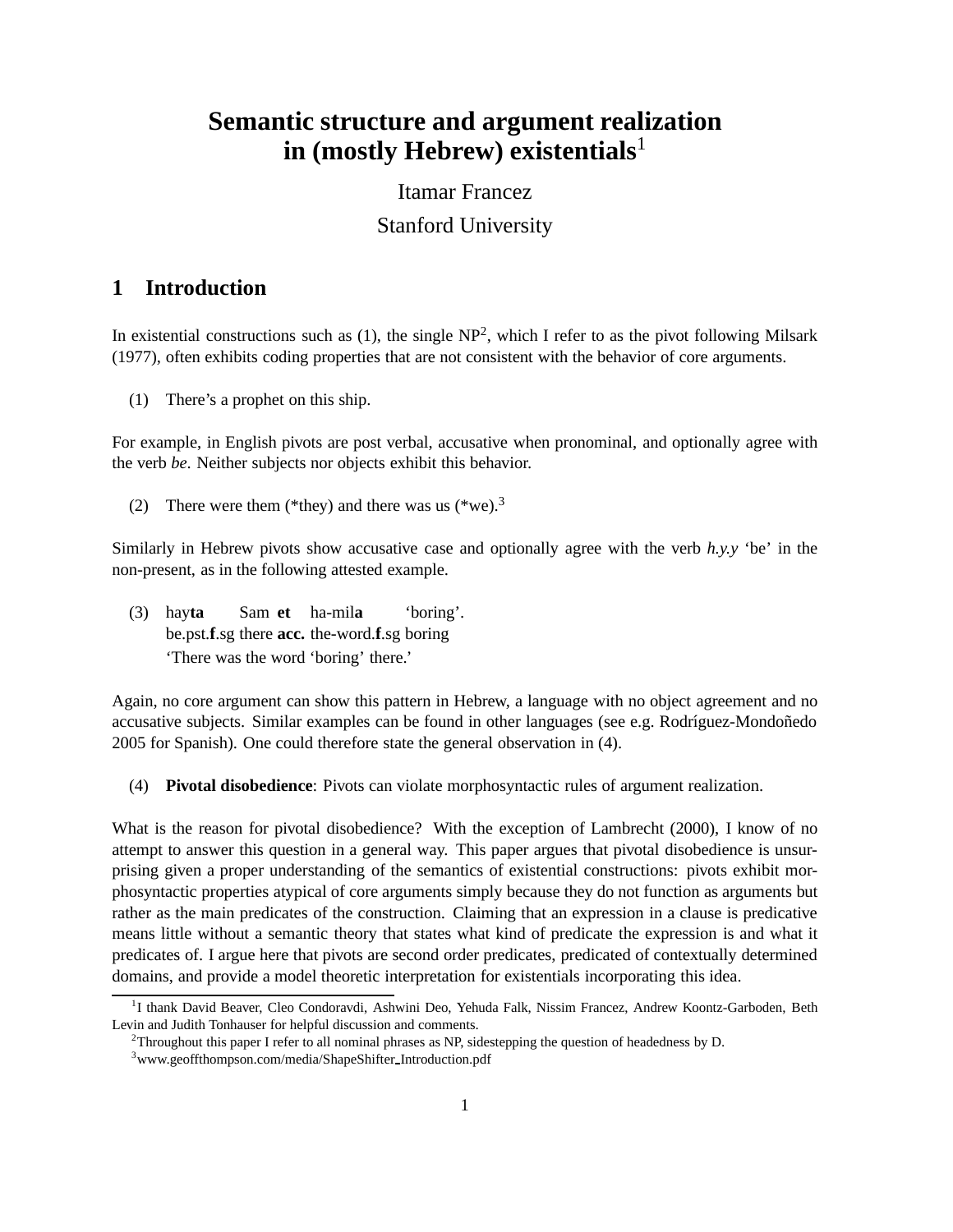# **Semantic structure and argument realization in (mostly Hebrew) existentials**<sup>1</sup>

# Itamar Francez Stanford University

# **1 Introduction**

In existential constructions such as  $(1)$ , the single NP<sup>2</sup>, which I refer to as the pivot following Milsark (1977), often exhibits coding properties that are not consistent with the behavior of core arguments.

(1) There's a prophet on this ship.

For example, in English pivots are post verbal, accusative when pronominal, and optionally agree with the verb *be*. Neither subjects nor objects exhibit this behavior.

(2) There were them (\*they) and there was us (\*we).<sup>3</sup>

Similarly in Hebrew pivots show accusative case and optionally agree with the verb  $h, y, y$  'be' in the non-present, as in the following attested example.

(3) hay**ta** be.pst.**f**.sg there **acc.** the-word.**f**.sg boring Sam **et** ha-mil**a** 'boring'. 'There was the word 'boring' there.'

Again, no core argument can show this pattern in Hebrew, a language with no object agreement and no accusative subjects. Similar examples can be found in other languages (see e.g. Rodríguez-Mondoñedo 2005 for Spanish). One could therefore state the general observation in (4).

(4) **Pivotal disobedience**: Pivots can violate morphosyntactic rules of argument realization.

What is the reason for pivotal disobedience? With the exception of Lambrecht (2000), I know of no attempt to answer this question in a general way. This paper argues that pivotal disobedience is unsurprising given a proper understanding of the semantics of existential constructions: pivots exhibit morphosyntactic properties atypical of core arguments simply because they do not function as arguments but rather as the main predicates of the construction. Claiming that an expression in a clause is predicative means little without a semantic theory that states what kind of predicate the expression is and what it predicates of. I argue here that pivots are second order predicates, predicated of contextually determined domains, and provide a model theoretic interpretation for existentials incorporating this idea.

<sup>&</sup>lt;sup>1</sup>I thank David Beaver, Cleo Condoravdi, Ashwini Deo, Yehuda Falk, Nissim Francez, Andrew Koontz-Garboden, Beth Levin and Judith Tonhauser for helpful discussion and comments.

<sup>&</sup>lt;sup>2</sup>Throughout this paper I refer to all nominal phrases as NP, sidestepping the question of headedness by D.

<sup>&</sup>lt;sup>3</sup>www.geoffthompson.com/media/ShapeShifter\_Introduction.pdf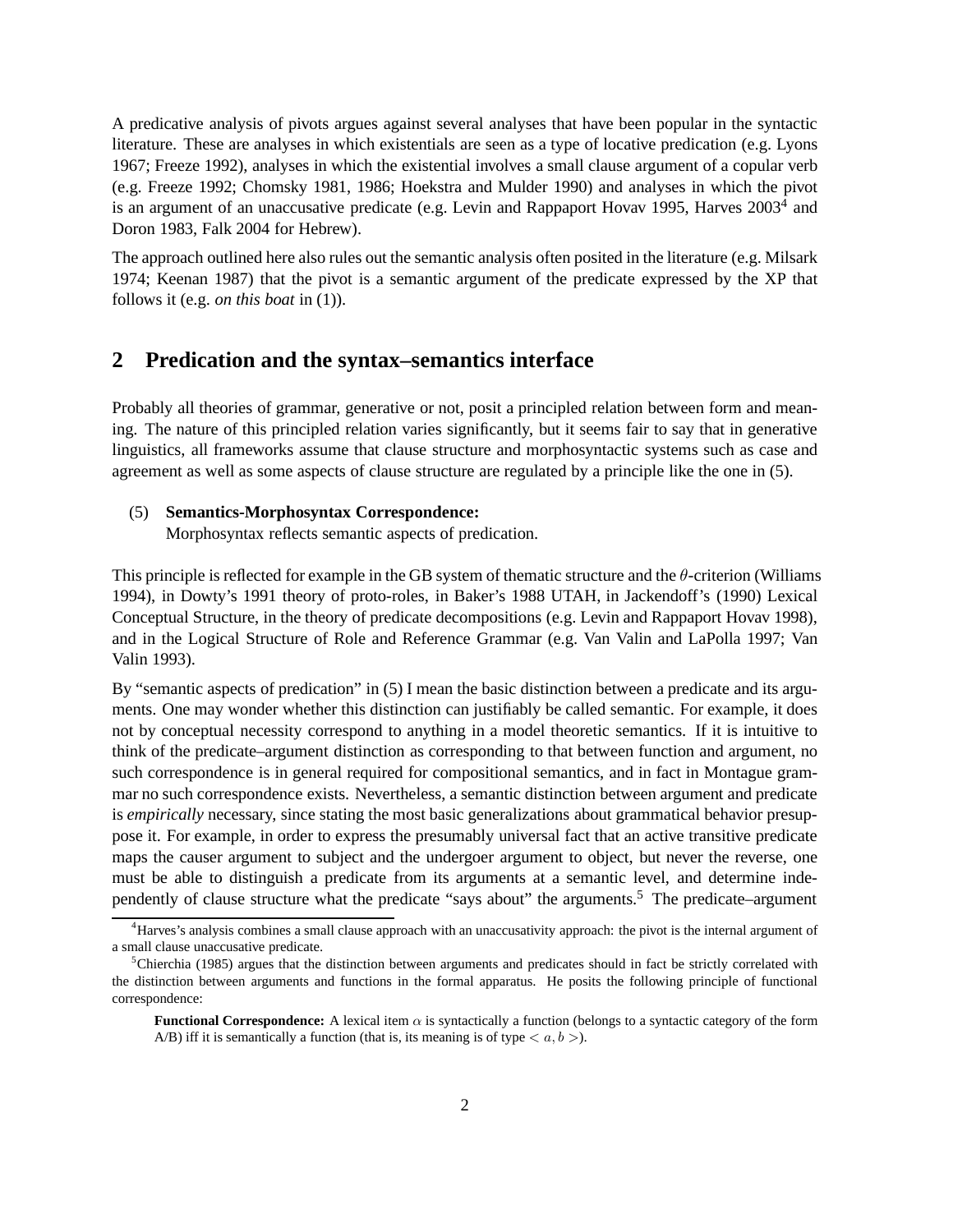A predicative analysis of pivots argues against several analyses that have been popular in the syntactic literature. These are analyses in which existentials are seen as a type of locative predication (e.g. Lyons 1967; Freeze 1992), analyses in which the existential involves a small clause argument of a copular verb (e.g. Freeze 1992; Chomsky 1981, 1986; Hoekstra and Mulder 1990) and analyses in which the pivot is an argument of an unaccusative predicate (e.g. Levin and Rappaport Hovav 1995, Harves 2003<sup>4</sup> and Doron 1983, Falk 2004 for Hebrew).

The approach outlined here also rules out the semantic analysis often posited in the literature (e.g. Milsark 1974; Keenan 1987) that the pivot is a semantic argument of the predicate expressed by the XP that follows it (e.g. *on this boat* in (1)).

### **2 Predication and the syntax–semantics interface**

Probably all theories of grammar, generative or not, posit a principled relation between form and meaning. The nature of this principled relation varies significantly, but it seems fair to say that in generative linguistics, all frameworks assume that clause structure and morphosyntactic systems such as case and agreement as well as some aspects of clause structure are regulated by a principle like the one in (5).

# (5) **Semantics-Morphosyntax Correspondence:**

Morphosyntax reflects semantic aspects of predication.

This principle is reflected for example in the GB system of thematic structure and the  $\theta$ -criterion (Williams 1994), in Dowty's 1991 theory of proto-roles, in Baker's 1988 UTAH, in Jackendoff's (1990) Lexical Conceptual Structure, in the theory of predicate decompositions (e.g. Levin and Rappaport Hovav 1998), and in the Logical Structure of Role and Reference Grammar (e.g. Van Valin and LaPolla 1997; Van Valin 1993).

By "semantic aspects of predication" in (5) I mean the basic distinction between a predicate and its arguments. One may wonder whether this distinction can justifiably be called semantic. For example, it does not by conceptual necessity correspond to anything in a model theoretic semantics. If it is intuitive to think of the predicate–argument distinction as corresponding to that between function and argument, no such correspondence is in general required for compositional semantics, and in fact in Montague grammar no such correspondence exists. Nevertheless, a semantic distinction between argument and predicate is *empirically* necessary, since stating the most basic generalizations about grammatical behavior presuppose it. For example, in order to express the presumably universal fact that an active transitive predicate maps the causer argument to subject and the undergoer argument to object, but never the reverse, one must be able to distinguish a predicate from its arguments at a semantic level, and determine independently of clause structure what the predicate "says about" the arguments.<sup>5</sup> The predicate–argument

<sup>&</sup>lt;sup>4</sup>Harves's analysis combines a small clause approach with an unaccusativity approach: the pivot is the internal argument of a small clause unaccusative predicate.

 ${}^5$ Chierchia (1985) argues that the distinction between arguments and predicates should in fact be strictly correlated with the distinction between arguments and functions in the formal apparatus. He posits the following principle of functional correspondence:

**Functional Correspondence:** A lexical item  $\alpha$  is syntactically a function (belongs to a syntactic category of the form A/B) iff it is semantically a function (that is, its meaning is of type  $\langle a, b \rangle$ ).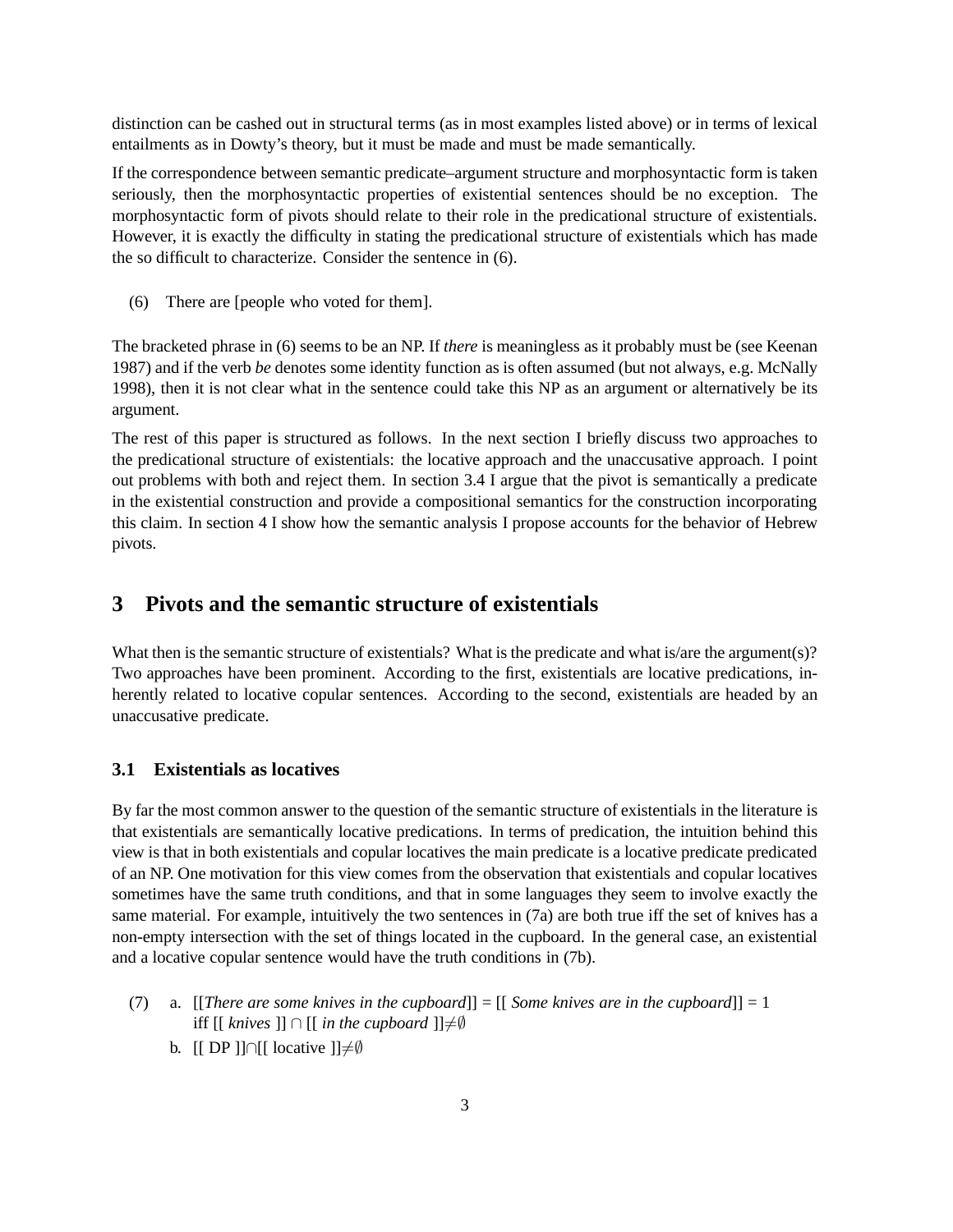distinction can be cashed out in structural terms (as in most examples listed above) or in terms of lexical entailments as in Dowty's theory, but it must be made and must be made semantically.

If the correspondence between semantic predicate–argument structure and morphosyntactic form is taken seriously, then the morphosyntactic properties of existential sentences should be no exception. The morphosyntactic form of pivots should relate to their role in the predicational structure of existentials. However, it is exactly the difficulty in stating the predicational structure of existentials which has made the so difficult to characterize. Consider the sentence in (6).

(6) There are [people who voted for them].

The bracketed phrase in (6) seems to be an NP. If *there* is meaningless as it probably must be (see Keenan 1987) and if the verb *be* denotes some identity function as is often assumed (but not always, e.g. McNally 1998), then it is not clear what in the sentence could take this NP as an argument or alternatively be its argument.

The rest of this paper is structured as follows. In the next section I briefly discuss two approaches to the predicational structure of existentials: the locative approach and the unaccusative approach. I point out problems with both and reject them. In section 3.4 I argue that the pivot is semantically a predicate in the existential construction and provide a compositional semantics for the construction incorporating this claim. In section 4 I show how the semantic analysis I propose accounts for the behavior of Hebrew pivots.

# **3 Pivots and the semantic structure of existentials**

What then is the semantic structure of existentials? What is the predicate and what is/are the argument(s)? Two approaches have been prominent. According to the first, existentials are locative predications, inherently related to locative copular sentences. According to the second, existentials are headed by an unaccusative predicate.

#### **3.1 Existentials as locatives**

By far the most common answer to the question of the semantic structure of existentials in the literature is that existentials are semantically locative predications. In terms of predication, the intuition behind this view is that in both existentials and copular locatives the main predicate is a locative predicate predicated of an NP. One motivation for this view comes from the observation that existentials and copular locatives sometimes have the same truth conditions, and that in some languages they seem to involve exactly the same material. For example, intuitively the two sentences in (7a) are both true iff the set of knives has a non-empty intersection with the set of things located in the cupboard. In the general case, an existential and a locative copular sentence would have the truth conditions in (7b).

- (7) a. [[*There are some knives in the cupboard*]] = [[ *Some knives are in the cupboard*]] = 1 iff  $[[\text{ *knives* ]] ∩ [[\text{ *in the cupboard* ]}]≠ $\emptyset$$ 
	- b. [[ DP ]]∩[[ locative ]] $\neq \emptyset$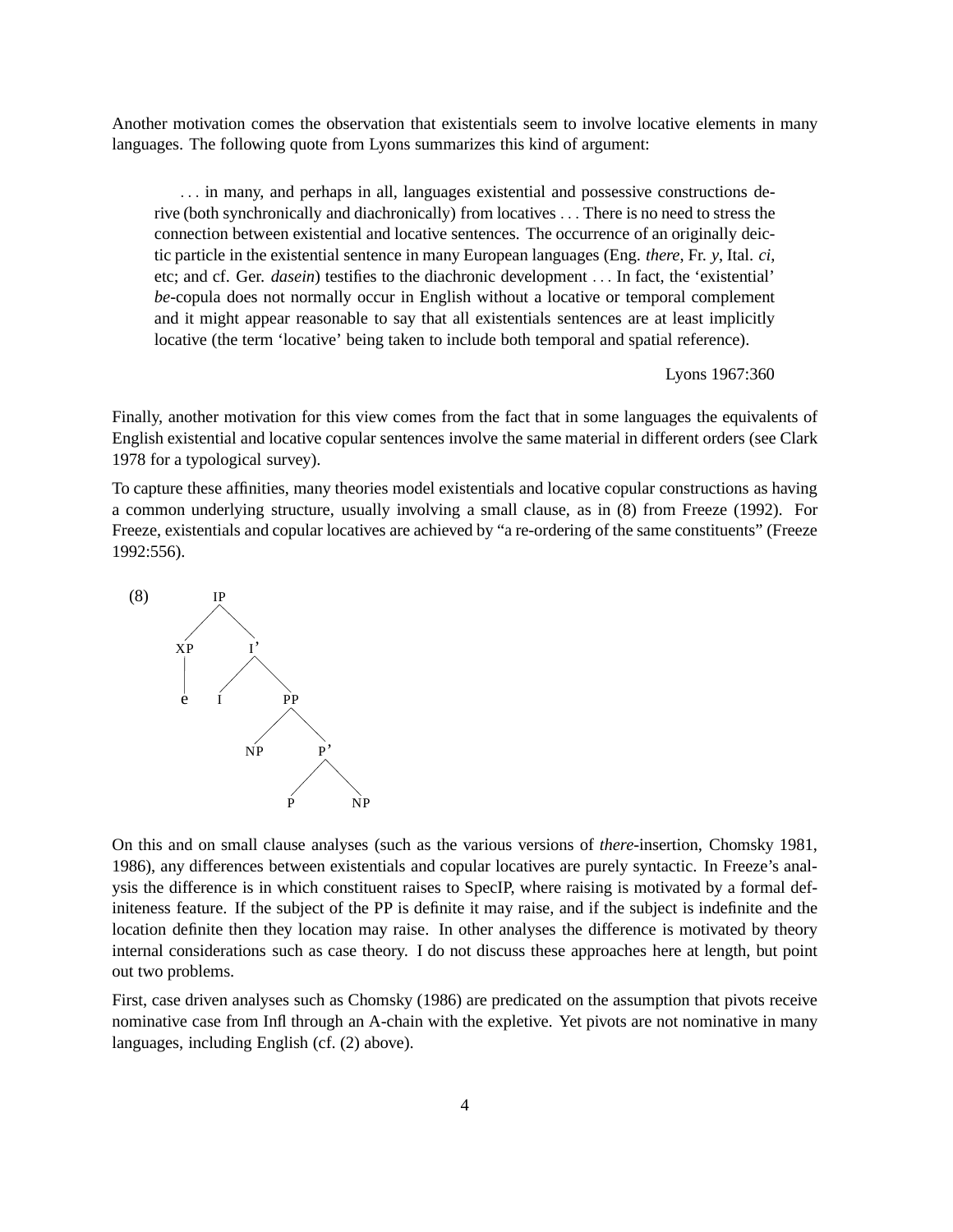Another motivation comes the observation that existentials seem to involve locative elements in many languages. The following quote from Lyons summarizes this kind of argument:

. . . in many, and perhaps in all, languages existential and possessive constructions derive (both synchronically and diachronically) from locatives . . . There is no need to stress the connection between existential and locative sentences. The occurrence of an originally deictic particle in the existential sentence in many European languages (Eng. *there*, Fr. *y*, Ital. *ci*, etc; and cf. Ger. *dasein*) testifies to the diachronic development . . . In fact, the 'existential' *be*-copula does not normally occur in English without a locative or temporal complement and it might appear reasonable to say that all existentials sentences are at least implicitly locative (the term 'locative' being taken to include both temporal and spatial reference).

Lyons 1967:360

Finally, another motivation for this view comes from the fact that in some languages the equivalents of English existential and locative copular sentences involve the same material in different orders (see Clark 1978 for a typological survey).

To capture these affinities, many theories model existentials and locative copular constructions as having a common underlying structure, usually involving a small clause, as in (8) from Freeze (1992). For Freeze, existentials and copular locatives are achieved by "a re-ordering of the same constituents" (Freeze 1992:556).



On this and on small clause analyses (such as the various versions of *there*-insertion, Chomsky 1981, 1986), any differences between existentials and copular locatives are purely syntactic. In Freeze's analysis the difference is in which constituent raises to SpecIP, where raising is motivated by a formal definiteness feature. If the subject of the PP is definite it may raise, and if the subject is indefinite and the location definite then they location may raise. In other analyses the difference is motivated by theory internal considerations such as case theory. I do not discuss these approaches here at length, but point out two problems.

First, case driven analyses such as Chomsky (1986) are predicated on the assumption that pivots receive nominative case from Infl through an A-chain with the expletive. Yet pivots are not nominative in many languages, including English (cf. (2) above).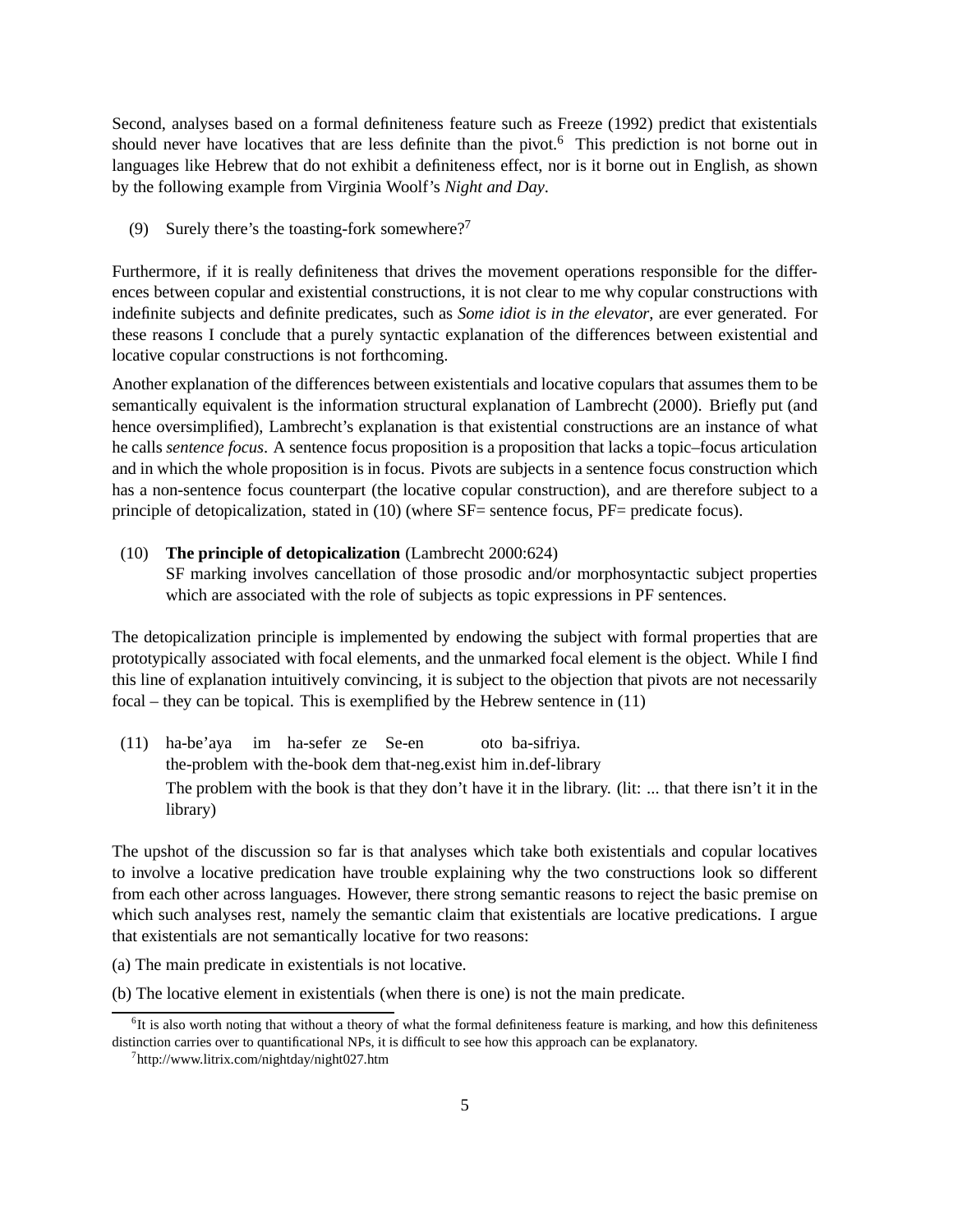Second, analyses based on a formal definiteness feature such as Freeze (1992) predict that existentials should never have locatives that are less definite than the pivot.<sup>6</sup> This prediction is not borne out in languages like Hebrew that do not exhibit a definiteness effect, nor is it borne out in English, as shown by the following example from Virginia Woolf's *Night and Day*.

(9) Surely there's the toasting-fork somewhere?<sup>7</sup>

Furthermore, if it is really definiteness that drives the movement operations responsible for the differences between copular and existential constructions, it is not clear to me why copular constructions with indefinite subjects and definite predicates, such as *Some idiot is in the elevator*, are ever generated. For these reasons I conclude that a purely syntactic explanation of the differences between existential and locative copular constructions is not forthcoming.

Another explanation of the differences between existentials and locative copulars that assumes them to be semantically equivalent is the information structural explanation of Lambrecht (2000). Briefly put (and hence oversimplified), Lambrecht's explanation is that existential constructions are an instance of what he calls *sentence focus*. A sentence focus proposition is a proposition that lacks a topic–focus articulation and in which the whole proposition is in focus. Pivots are subjects in a sentence focus construction which has a non-sentence focus counterpart (the locative copular construction), and are therefore subject to a principle of detopicalization, stated in (10) (where SF= sentence focus, PF= predicate focus).

#### (10) **The principle of detopicalization** (Lambrecht 2000:624)

SF marking involves cancellation of those prosodic and/or morphosyntactic subject properties which are associated with the role of subjects as topic expressions in PF sentences.

The detopicalization principle is implemented by endowing the subject with formal properties that are prototypically associated with focal elements, and the unmarked focal element is the object. While I find this line of explanation intuitively convincing, it is subject to the objection that pivots are not necessarily focal – they can be topical. This is exemplified by the Hebrew sentence in (11)

(11) ha-be'aya im ha-sefer ze Se-en the-problem with the-book dem that-neg.exist him in.def-library oto ba-sifriya. The problem with the book is that they don't have it in the library. (lit: ... that there isn't it in the library)

The upshot of the discussion so far is that analyses which take both existentials and copular locatives to involve a locative predication have trouble explaining why the two constructions look so different from each other across languages. However, there strong semantic reasons to reject the basic premise on which such analyses rest, namely the semantic claim that existentials are locative predications. I argue that existentials are not semantically locative for two reasons:

- (a) The main predicate in existentials is not locative.
- (b) The locative element in existentials (when there is one) is not the main predicate.

<sup>&</sup>lt;sup>6</sup>It is also worth noting that without a theory of what the formal definiteness feature is marking, and how this definiteness distinction carries over to quantificational NPs, it is difficult to see how this approach can be explanatory.

<sup>7</sup> http://www.litrix.com/nightday/night027.htm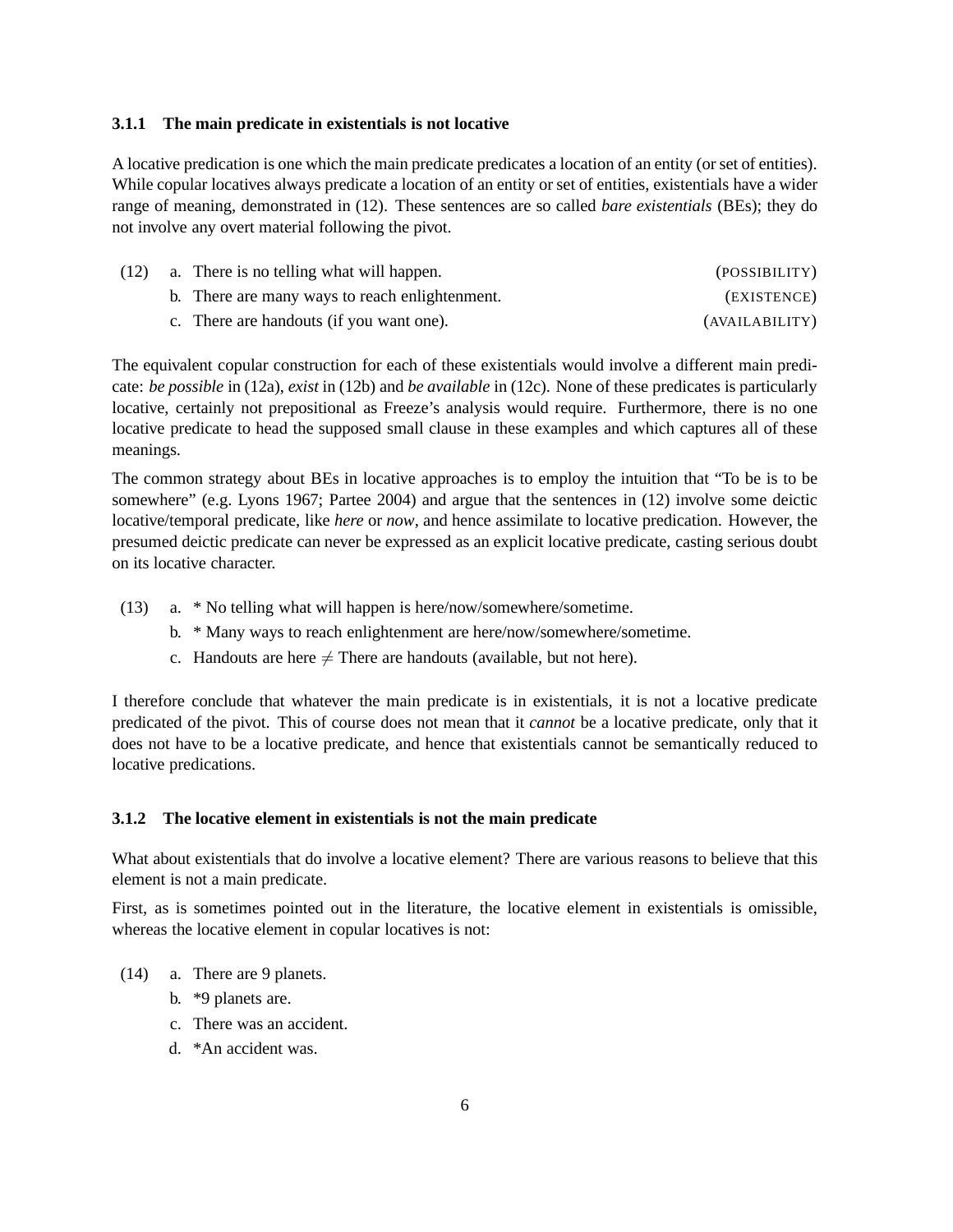#### **3.1.1 The main predicate in existentials is not locative**

A locative predication is one which the main predicate predicates a location of an entity (or set of entities). While copular locatives always predicate a location of an entity or set of entities, existentials have a wider range of meaning, demonstrated in (12). These sentences are so called *bare existentials* (BEs); they do not involve any overt material following the pivot.

| (12) | a. There is no telling what will happen.       | (POSSIBILITY)  |
|------|------------------------------------------------|----------------|
|      | b. There are many ways to reach enlightenment. | (EXISTENCE)    |
|      | c. There are handouts (if you want one).       | (AVAILABILITY) |

The equivalent copular construction for each of these existentials would involve a different main predicate: *be possible* in (12a), *exist* in (12b) and *be available* in (12c). None of these predicates is particularly locative, certainly not prepositional as Freeze's analysis would require. Furthermore, there is no one locative predicate to head the supposed small clause in these examples and which captures all of these meanings.

The common strategy about BEs in locative approaches is to employ the intuition that "To be is to be somewhere" (e.g. Lyons 1967; Partee 2004) and argue that the sentences in (12) involve some deictic locative/temporal predicate, like *here* or *now*, and hence assimilate to locative predication. However, the presumed deictic predicate can never be expressed as an explicit locative predicate, casting serious doubt on its locative character.

- (13) a. \* No telling what will happen is here/now/somewhere/sometime.
	- b. \* Many ways to reach enlightenment are here/now/somewhere/sometime.
	- c. Handouts are here  $\neq$  There are handouts (available, but not here).

I therefore conclude that whatever the main predicate is in existentials, it is not a locative predicate predicated of the pivot. This of course does not mean that it *cannot* be a locative predicate, only that it does not have to be a locative predicate, and hence that existentials cannot be semantically reduced to locative predications.

#### **3.1.2 The locative element in existentials is not the main predicate**

What about existentials that do involve a locative element? There are various reasons to believe that this element is not a main predicate.

First, as is sometimes pointed out in the literature, the locative element in existentials is omissible, whereas the locative element in copular locatives is not:

- (14) a. There are 9 planets.
	- b. \*9 planets are.
	- c. There was an accident.
	- d. \*An accident was.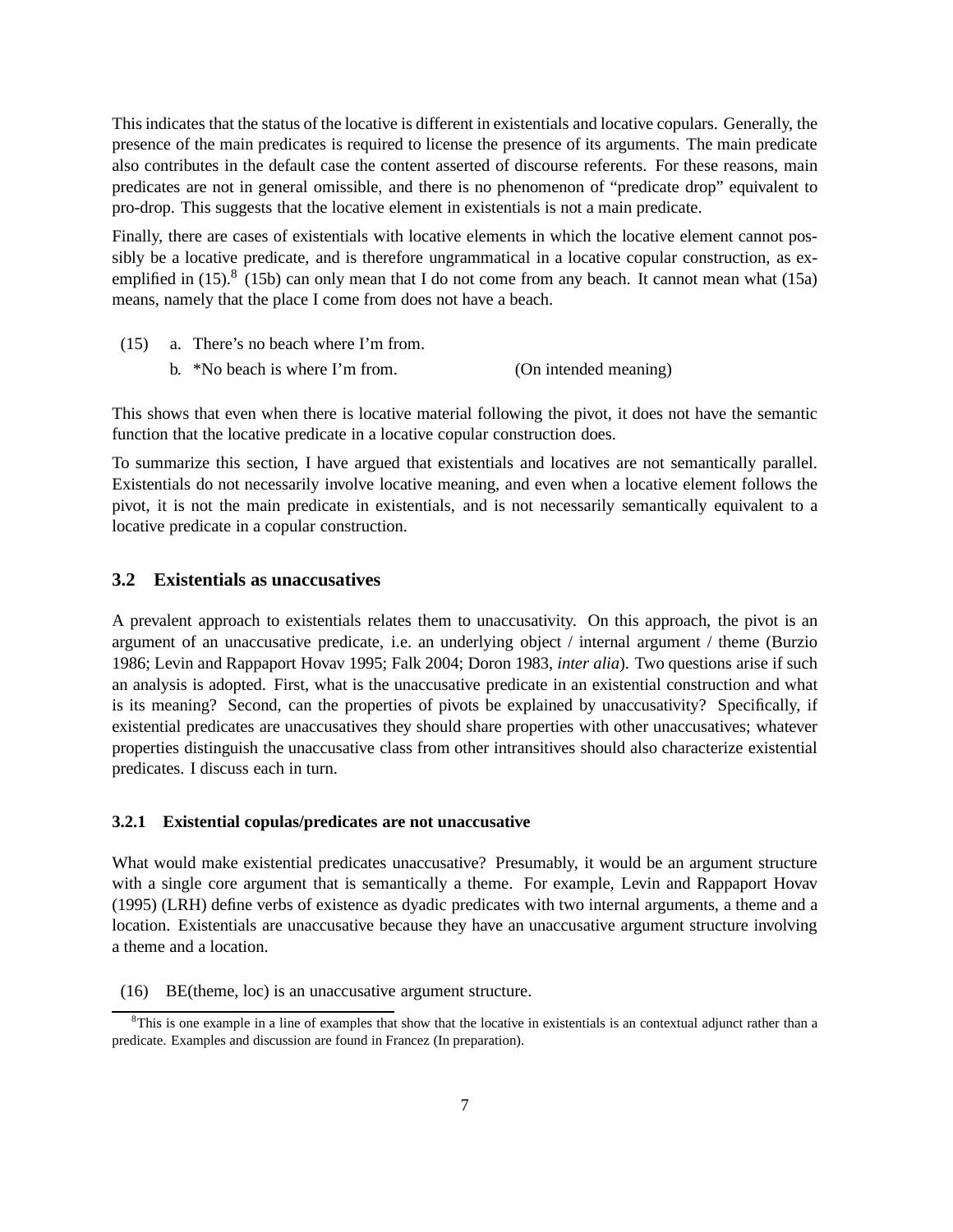This indicates that the status of the locative is different in existentials and locative copulars. Generally, the presence of the main predicates is required to license the presence of its arguments. The main predicate also contributes in the default case the content asserted of discourse referents. For these reasons, main predicates are not in general omissible, and there is no phenomenon of "predicate drop" equivalent to pro-drop. This suggests that the locative element in existentials is not a main predicate.

Finally, there are cases of existentials with locative elements in which the locative element cannot possibly be a locative predicate, and is therefore ungrammatical in a locative copular construction, as exemplified in  $(15)$ .<sup>8</sup>  $(15b)$  can only mean that I do not come from any beach. It cannot mean what  $(15a)$ means, namely that the place I come from does not have a beach.

- (15) a. There's no beach where I'm from.
	- b. \*No beach is where I'm from. (On intended meaning)

This shows that even when there is locative material following the pivot, it does not have the semantic function that the locative predicate in a locative copular construction does.

To summarize this section, I have argued that existentials and locatives are not semantically parallel. Existentials do not necessarily involve locative meaning, and even when a locative element follows the pivot, it is not the main predicate in existentials, and is not necessarily semantically equivalent to a locative predicate in a copular construction.

#### **3.2 Existentials as unaccusatives**

A prevalent approach to existentials relates them to unaccusativity. On this approach, the pivot is an argument of an unaccusative predicate, i.e. an underlying object / internal argument / theme (Burzio 1986; Levin and Rappaport Hovav 1995; Falk 2004; Doron 1983, *inter alia*). Two questions arise if such an analysis is adopted. First, what is the unaccusative predicate in an existential construction and what is its meaning? Second, can the properties of pivots be explained by unaccusativity? Specifically, if existential predicates are unaccusatives they should share properties with other unaccusatives; whatever properties distinguish the unaccusative class from other intransitives should also characterize existential predicates. I discuss each in turn.

#### **3.2.1 Existential copulas/predicates are not unaccusative**

What would make existential predicates unaccusative? Presumably, it would be an argument structure with a single core argument that is semantically a theme. For example, Levin and Rappaport Hovav (1995) (LRH) define verbs of existence as dyadic predicates with two internal arguments, a theme and a location. Existentials are unaccusative because they have an unaccusative argument structure involving a theme and a location.

(16) BE(theme, loc) is an unaccusative argument structure.

 ${}^{8}$ This is one example in a line of examples that show that the locative in existentials is an contextual adjunct rather than a predicate. Examples and discussion are found in Francez (In preparation).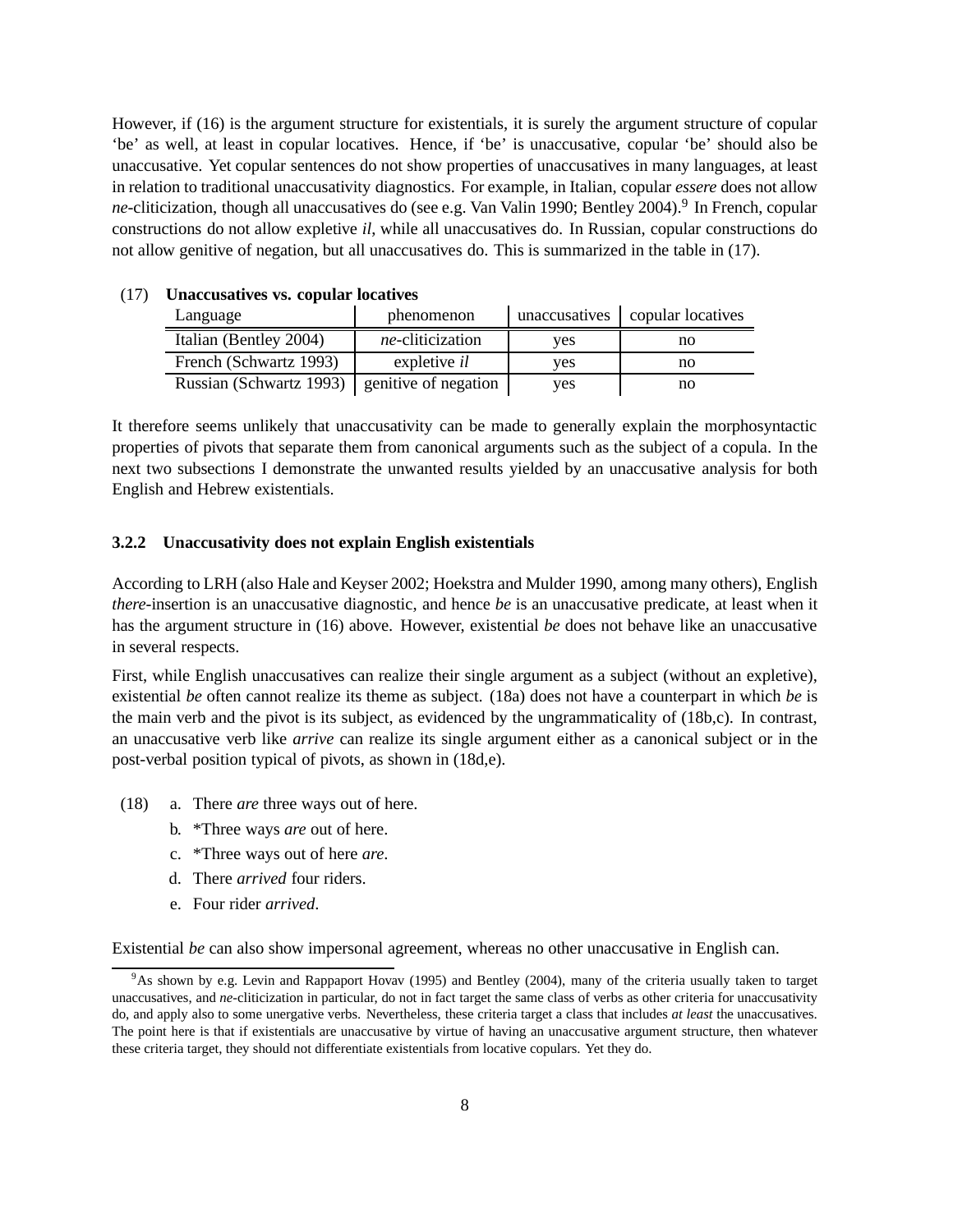However, if (16) is the argument structure for existentials, it is surely the argument structure of copular 'be' as well, at least in copular locatives. Hence, if 'be' is unaccusative, copular 'be' should also be unaccusative. Yet copular sentences do not show properties of unaccusatives in many languages, at least in relation to traditional unaccusativity diagnostics. For example, in Italian, copular *essere* does not allow ne-cliticization, though all unaccusatives do (see e.g. Van Valin 1990; Bentley 2004).<sup>9</sup> In French, copular constructions do not allow expletive *il*, while all unaccusatives do. In Russian, copular constructions do not allow genitive of negation, but all unaccusatives do. This is summarized in the table in (17).

| Language                | phenomenon               | unaccusatives | copular locatives |  |
|-------------------------|--------------------------|---------------|-------------------|--|
| Italian (Bentley 2004)  | <i>ne</i> -cliticization | ves           | no                |  |
| French (Schwartz 1993)  | expletive <i>il</i>      | ves           | no                |  |
| Russian (Schwartz 1993) | genitive of negation     | ves           | no                |  |

#### (17) **Unaccusatives vs. copular locatives**

It therefore seems unlikely that unaccusativity can be made to generally explain the morphosyntactic properties of pivots that separate them from canonical arguments such as the subject of a copula. In the next two subsections I demonstrate the unwanted results yielded by an unaccusative analysis for both English and Hebrew existentials.

#### **3.2.2 Unaccusativity does not explain English existentials**

According to LRH (also Hale and Keyser 2002; Hoekstra and Mulder 1990, among many others), English *there*-insertion is an unaccusative diagnostic, and hence *be* is an unaccusative predicate, at least when it has the argument structure in (16) above. However, existential *be* does not behave like an unaccusative in several respects.

First, while English unaccusatives can realize their single argument as a subject (without an expletive), existential *be* often cannot realize its theme as subject. (18a) does not have a counterpart in which *be* is the main verb and the pivot is its subject, as evidenced by the ungrammaticality of (18b,c). In contrast, an unaccusative verb like *arrive* can realize its single argument either as a canonical subject or in the post-verbal position typical of pivots, as shown in (18d,e).

- (18) a. There *are* three ways out of here.
	- b. \*Three ways *are* out of here.
	- c. \*Three ways out of here *are*.
	- d. There *arrived* four riders.
	- e. Four rider *arrived*.

Existential *be* can also show impersonal agreement, whereas no other unaccusative in English can.

<sup>9</sup>As shown by e.g. Levin and Rappaport Hovav (1995) and Bentley (2004), many of the criteria usually taken to target unaccusatives, and *ne*-cliticization in particular, do not in fact target the same class of verbs as other criteria for unaccusativity do, and apply also to some unergative verbs. Nevertheless, these criteria target a class that includes *at least* the unaccusatives. The point here is that if existentials are unaccusative by virtue of having an unaccusative argument structure, then whatever these criteria target, they should not differentiate existentials from locative copulars. Yet they do.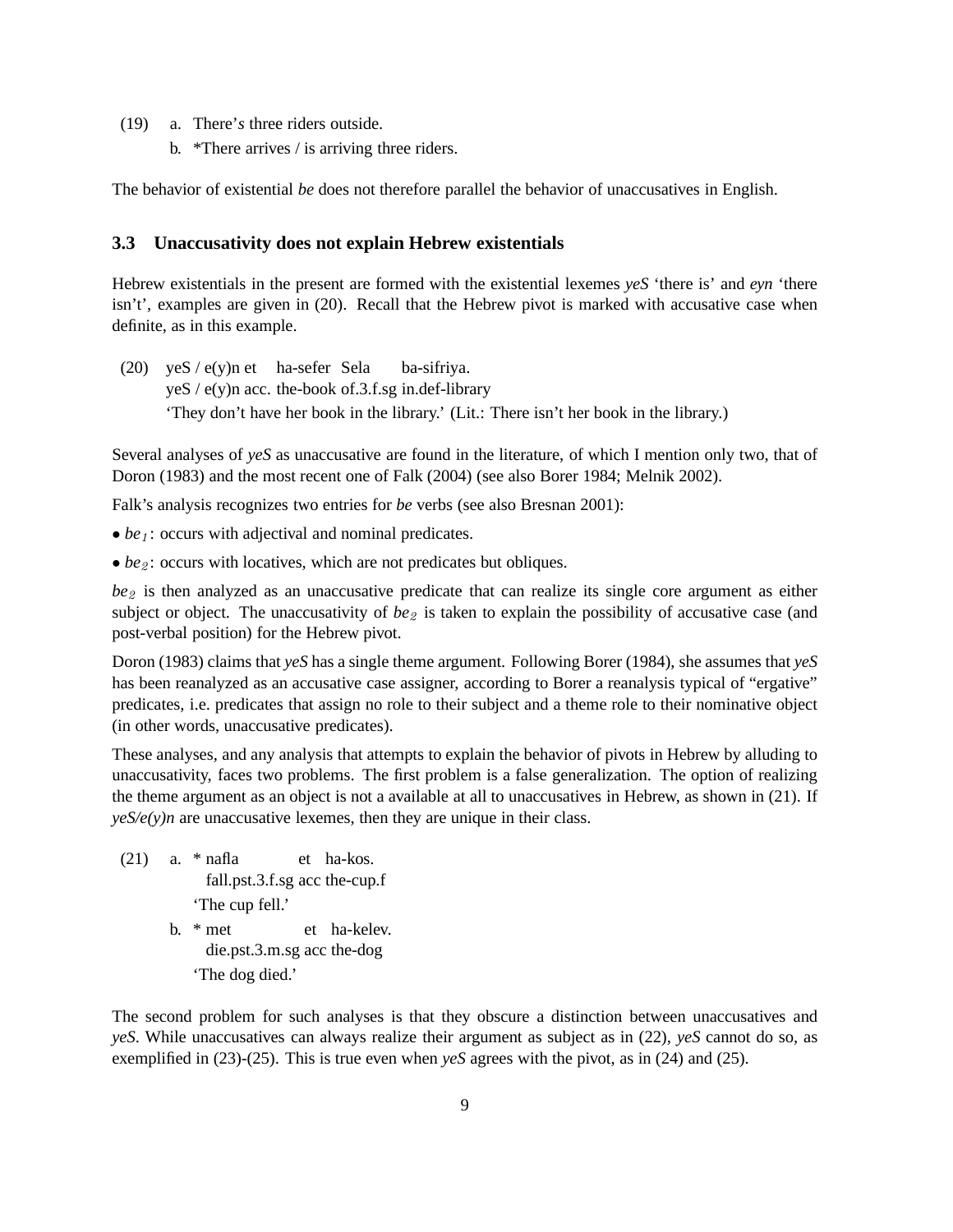- (19) a. There'*s* three riders outside.
	- b. \*There arrives / is arriving three riders.

The behavior of existential *be* does not therefore parallel the behavior of unaccusatives in English.

#### **3.3 Unaccusativity does not explain Hebrew existentials**

Hebrew existentials in the present are formed with the existential lexemes *yeS* 'there is' and *eyn* 'there isn't', examples are given in (20). Recall that the Hebrew pivot is marked with accusative case when definite, as in this example.

(20) yeS / e(y)n et ha-sefer Sela yeS / e(y)n acc. the-book of.3.f.sg in.def-library ba-sifriya. 'They don't have her book in the library.' (Lit.: There isn't her book in the library.)

Several analyses of *yeS* as unaccusative are found in the literature, of which I mention only two, that of Doron (1983) and the most recent one of Falk (2004) (see also Borer 1984; Melnik 2002).

Falk's analysis recognizes two entries for *be* verbs (see also Bresnan 2001):

- *be*<sub>1</sub>: occurs with adjectival and nominal predicates.
- *be*<sub>2</sub>: occurs with locatives, which are not predicates but obliques.

*be*2 is then analyzed as an unaccusative predicate that can realize its single core argument as either subject or object. The unaccusativity of  $be_2$  is taken to explain the possibility of accusative case (and post-verbal position) for the Hebrew pivot.

Doron (1983) claims that *yeS* has a single theme argument. Following Borer (1984), she assumes that *yeS* has been reanalyzed as an accusative case assigner, according to Borer a reanalysis typical of "ergative" predicates, i.e. predicates that assign no role to their subject and a theme role to their nominative object (in other words, unaccusative predicates).

These analyses, and any analysis that attempts to explain the behavior of pivots in Hebrew by alluding to unaccusativity, faces two problems. The first problem is a false generalization. The option of realizing the theme argument as an object is not a available at all to unaccusatives in Hebrew, as shown in (21). If  $\gamma e S/e(\gamma)n$  are unaccusative lexemes, then they are unique in their class.

- (21) a. \* nafla fall.pst.3.f.sg acc the-cup.f et ha-kos. 'The cup fell.'
	- b. \* met die.pst.3.m.sg acc the-dog et ha-kelev. 'The dog died.'

The second problem for such analyses is that they obscure a distinction between unaccusatives and *yeS*. While unaccusatives can always realize their argument as subject as in (22), *yeS* cannot do so, as exemplified in (23)-(25). This is true even when *yeS* agrees with the pivot, as in (24) and (25).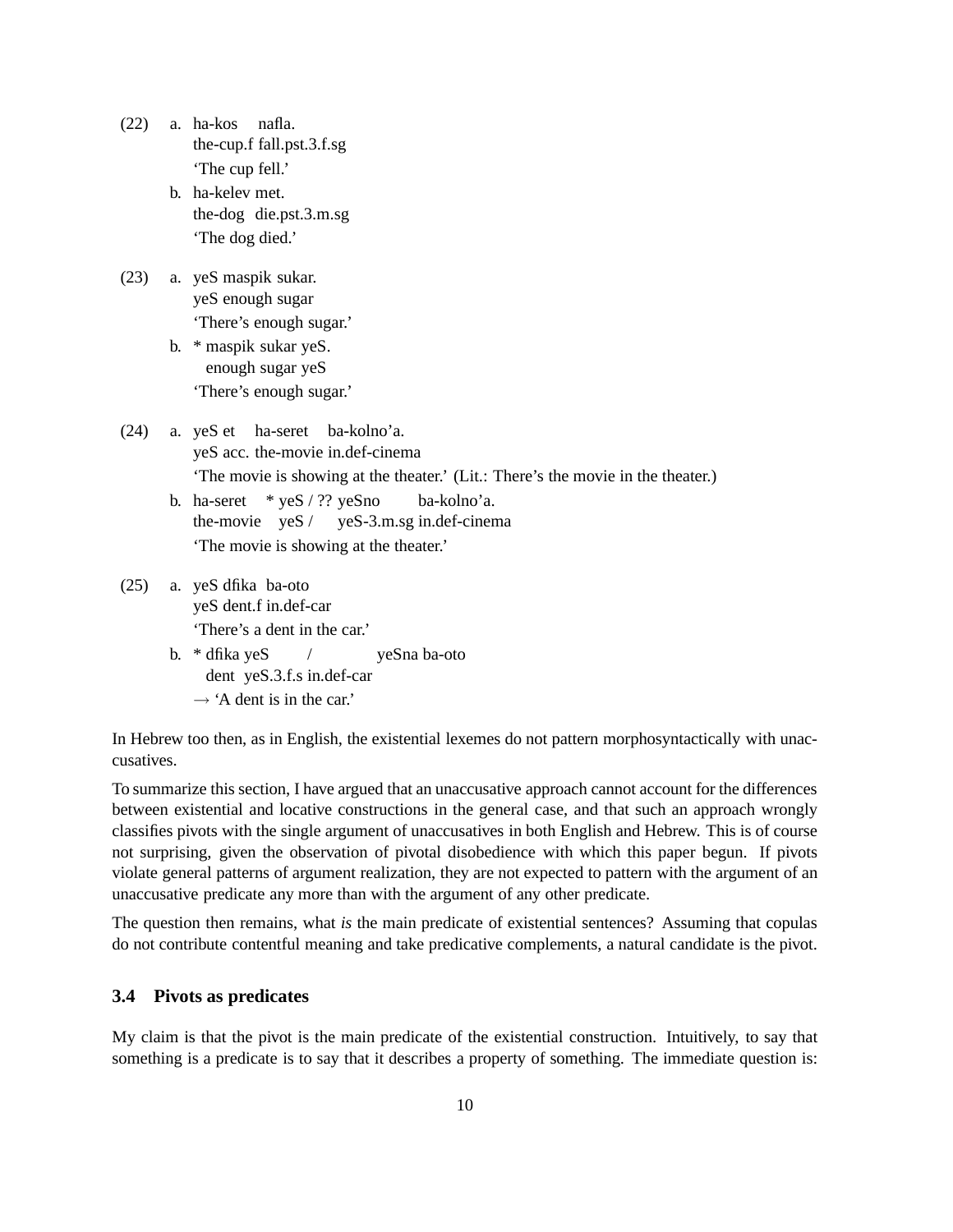- (22) a. ha-kos nafla. the-cup.f fall.pst.3.f.sg 'The cup fell.'
	- b. ha-kelev met. the-dog die.pst.3.m.sg 'The dog died.'
- (23) a. yeS maspik sukar. yeS enough sugar 'There's enough sugar.'
	- b. \* maspik sukar yeS. enough sugar yeS 'There's enough sugar.'
- (24) a. yeS et ha-seret ba-kolno'a. yeS acc. the-movie in.def-cinema 'The movie is showing at the theater.' (Lit.: There's the movie in the theater.)
	- b. ha-seret \* yeS / ?? yeSno the-movie yeS / yeS-3.m.sg in.def-cinema ba-kolno'a. 'The movie is showing at the theater.'
- (25) a. yeS dfika ba-oto yeS dent.f in.def-car 'There's a dent in the car.' /
	- b. \* dfika yeS dent yeS.3.f.s in.def-car yeSna ba-oto  $\rightarrow$  'A dent is in the car.'

In Hebrew too then, as in English, the existential lexemes do not pattern morphosyntactically with unaccusatives.

To summarize this section, I have argued that an unaccusative approach cannot account for the differences between existential and locative constructions in the general case, and that such an approach wrongly classifies pivots with the single argument of unaccusatives in both English and Hebrew. This is of course not surprising, given the observation of pivotal disobedience with which this paper begun. If pivots violate general patterns of argument realization, they are not expected to pattern with the argument of an unaccusative predicate any more than with the argument of any other predicate.

The question then remains, what *is* the main predicate of existential sentences? Assuming that copulas do not contribute contentful meaning and take predicative complements, a natural candidate is the pivot.

## **3.4 Pivots as predicates**

My claim is that the pivot is the main predicate of the existential construction. Intuitively, to say that something is a predicate is to say that it describes a property of something. The immediate question is: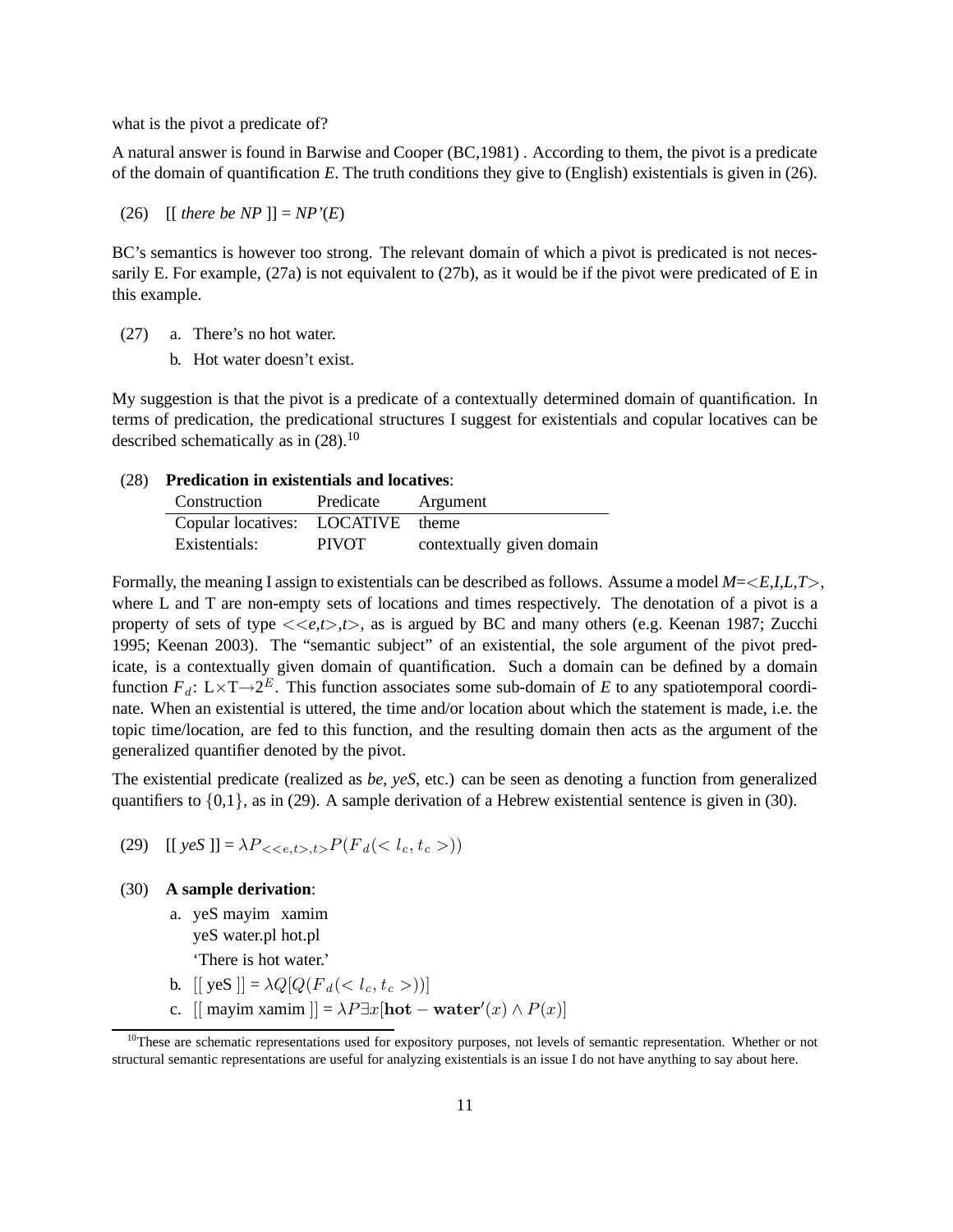what is the pivot a predicate of?

A natural answer is found in Barwise and Cooper (BC,1981) . According to them, the pivot is a predicate of the domain of quantification *E*. The truth conditions they give to (English) existentials is given in (26).

(26)  $[$  *[ there be NP ]* $] = NP'(E)$ 

BC's semantics is however too strong. The relevant domain of which a pivot is predicated is not necessarily E. For example, (27a) is not equivalent to (27b), as it would be if the pivot were predicated of E in this example.

- (27) a. There's no hot water.
	- b. Hot water doesn't exist.

My suggestion is that the pivot is a predicate of a contextually determined domain of quantification. In terms of predication, the predicational structures I suggest for existentials and copular locatives can be described schematically as in  $(28)$ .<sup>10</sup>

#### (28) **Predication in existentials and locatives**:

| Construction                | Predicate    | Argument                  |
|-----------------------------|--------------|---------------------------|
| Copular locatives: LOCATIVE |              | theme                     |
| Existentials:               | <b>PIVOT</b> | contextually given domain |

Formally, the meaning I assign to existentials can be described as follows. Assume a model *M*=<*E,I,L,T*>, where L and T are non-empty sets of locations and times respectively. The denotation of a pivot is a property of sets of type  $\langle\langle e,t\rangle,t\rangle$ , as is argued by BC and many others (e.g. Keenan 1987; Zucchi 1995; Keenan 2003). The "semantic subject" of an existential, the sole argument of the pivot predicate, is a contextually given domain of quantification. Such a domain can be defined by a domain function  $F_d$ : L×T→2<sup>E</sup>. This function associates some sub-domain of E to any spatiotemporal coordinate. When an existential is uttered, the time and/or location about which the statement is made, i.e. the topic time/location, are fed to this function, and the resulting domain then acts as the argument of the generalized quantifier denoted by the pivot.

The existential predicate (realized as *be*, *yeS*, etc.) can be seen as denoting a function from generalized quantifiers to  $\{0,1\}$ , as in (29). A sample derivation of a Hebrew existential sentence is given in (30).

(29)  $[[ \text{ yes } ]] = \lambda P_{\leq \leq e, t > t > P} (F_d())$ 

#### (30) **A sample derivation**:

- a. yeS mayim xamim yeS water.pl hot.pl
	- 'There is hot water.'
- b.  $[$  yeS  $] = \lambda Q [Q(F_d(*c*,t_c>))]$
- c. [[ mayim xamim ]] =  $\lambda P \exists x$ [hot water'(x)  $\wedge P(x)$ ]

<sup>&</sup>lt;sup>10</sup>These are schematic representations used for expository purposes, not levels of semantic representation. Whether or not structural semantic representations are useful for analyzing existentials is an issue I do not have anything to say about here.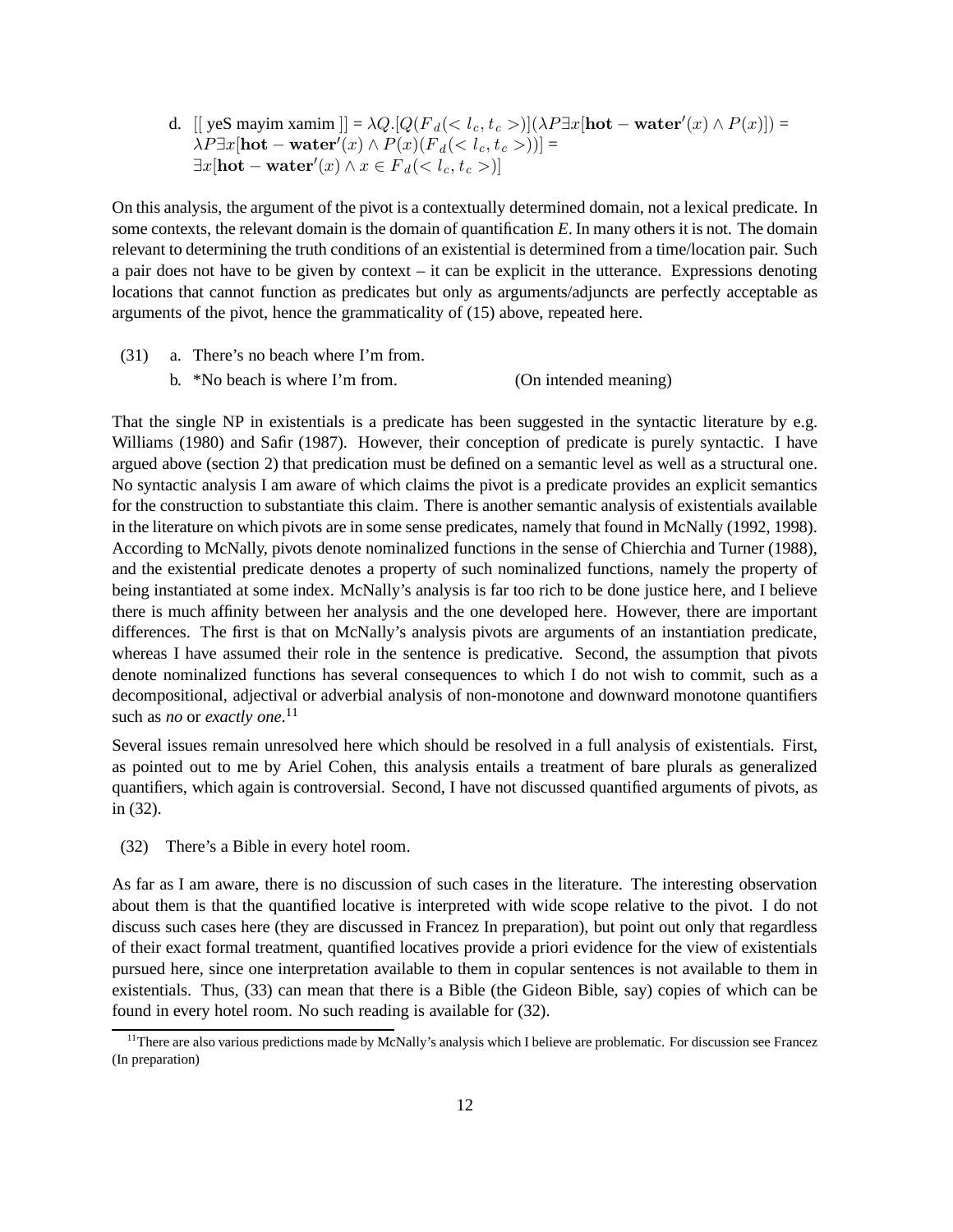d. [[ yeS mayim xamim ]] =  $\lambda Q$ .[ $Q(F_d(< l_c,t_c>)$ ] $(\lambda P \exists x [\text{hot}-\text{water}'(x) \wedge P(x)])$  =  $\lambda P \exists x [\textbf{hot} - \textbf{water}'(x) \wedge P(x) (F_d(*l<sub>c</sub>, t<sub>c</sub> >))] =*$  $\exists x[\textbf{hot}-\textbf{water}'(x) \land x \in \overrightarrow{F}_d()]$ 

On this analysis, the argument of the pivot is a contextually determined domain, not a lexical predicate. In some contexts, the relevant domain is the domain of quantification *E*. In many others it is not. The domain relevant to determining the truth conditions of an existential is determined from a time/location pair. Such a pair does not have to be given by context – it can be explicit in the utterance. Expressions denoting locations that cannot function as predicates but only as arguments/adjuncts are perfectly acceptable as arguments of the pivot, hence the grammaticality of (15) above, repeated here.

(31) a. There's no beach where I'm from.

b. \*No beach is where I'm from. (On intended meaning)

That the single NP in existentials is a predicate has been suggested in the syntactic literature by e.g. Williams (1980) and Safir (1987). However, their conception of predicate is purely syntactic. I have argued above (section 2) that predication must be defined on a semantic level as well as a structural one. No syntactic analysis I am aware of which claims the pivot is a predicate provides an explicit semantics for the construction to substantiate this claim. There is another semantic analysis of existentials available in the literature on which pivots are in some sense predicates, namely that found in McNally (1992, 1998). According to McNally, pivots denote nominalized functions in the sense of Chierchia and Turner (1988), and the existential predicate denotes a property of such nominalized functions, namely the property of being instantiated at some index. McNally's analysis is far too rich to be done justice here, and I believe there is much affinity between her analysis and the one developed here. However, there are important differences. The first is that on McNally's analysis pivots are arguments of an instantiation predicate, whereas I have assumed their role in the sentence is predicative. Second, the assumption that pivots denote nominalized functions has several consequences to which I do not wish to commit, such as a decompositional, adjectival or adverbial analysis of non-monotone and downward monotone quantifiers such as *no* or *exactly one*. 11

Several issues remain unresolved here which should be resolved in a full analysis of existentials. First, as pointed out to me by Ariel Cohen, this analysis entails a treatment of bare plurals as generalized quantifiers, which again is controversial. Second, I have not discussed quantified arguments of pivots, as in (32).

(32) There's a Bible in every hotel room.

As far as I am aware, there is no discussion of such cases in the literature. The interesting observation about them is that the quantified locative is interpreted with wide scope relative to the pivot. I do not discuss such cases here (they are discussed in Francez In preparation), but point out only that regardless of their exact formal treatment, quantified locatives provide a priori evidence for the view of existentials pursued here, since one interpretation available to them in copular sentences is not available to them in existentials. Thus, (33) can mean that there is a Bible (the Gideon Bible, say) copies of which can be found in every hotel room. No such reading is available for (32).

 $<sup>11</sup>$ There are also various predictions made by McNally's analysis which I believe are problematic. For discussion see Francez</sup> (In preparation)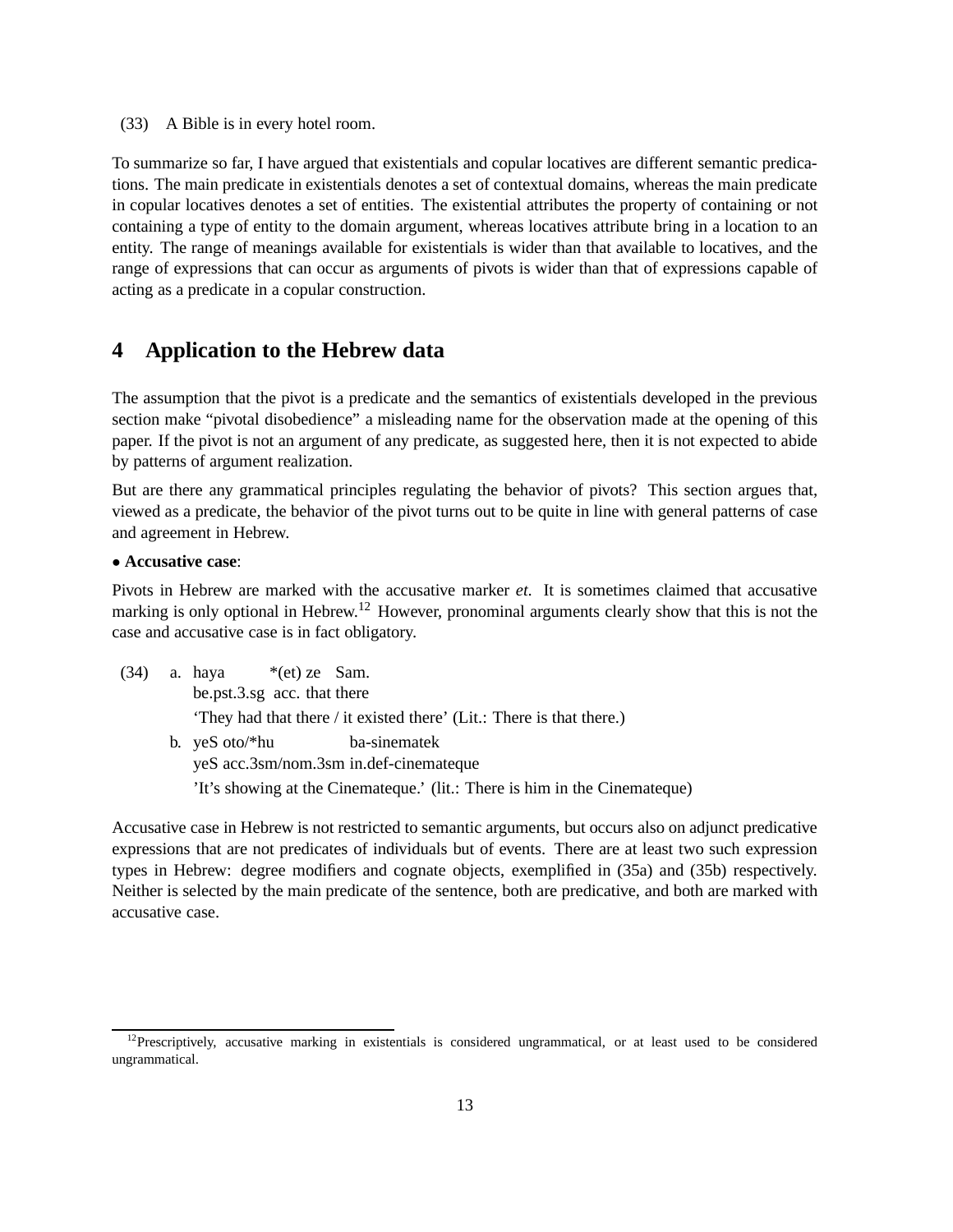(33) A Bible is in every hotel room.

To summarize so far, I have argued that existentials and copular locatives are different semantic predications. The main predicate in existentials denotes a set of contextual domains, whereas the main predicate in copular locatives denotes a set of entities. The existential attributes the property of containing or not containing a type of entity to the domain argument, whereas locatives attribute bring in a location to an entity. The range of meanings available for existentials is wider than that available to locatives, and the range of expressions that can occur as arguments of pivots is wider than that of expressions capable of acting as a predicate in a copular construction.

# **4 Application to the Hebrew data**

The assumption that the pivot is a predicate and the semantics of existentials developed in the previous section make "pivotal disobedience" a misleading name for the observation made at the opening of this paper. If the pivot is not an argument of any predicate, as suggested here, then it is not expected to abide by patterns of argument realization.

But are there any grammatical principles regulating the behavior of pivots? This section argues that, viewed as a predicate, the behavior of the pivot turns out to be quite in line with general patterns of case and agreement in Hebrew.

#### • **Accusative case**:

Pivots in Hebrew are marked with the accusative marker *et*. It is sometimes claimed that accusative marking is only optional in Hebrew.<sup>12</sup> However, pronominal arguments clearly show that this is not the case and accusative case is in fact obligatory.

|  | $(34)$ a. haya *(et) ze Sam.                                          |  |                                                                            |
|--|-----------------------------------------------------------------------|--|----------------------------------------------------------------------------|
|  | be.pst.3.sg acc. that there                                           |  |                                                                            |
|  | 'They had that there / it existed there' (Lit.: There is that there.) |  |                                                                            |
|  | b. yeS oto/*hu                                                        |  | ba-sinematek<br>yeS acc.3sm/nom.3sm in.def-cinemateque                     |
|  |                                                                       |  | 'It's showing at the Cinemateque.' (lit.: There is him in the Cinemateque) |

Accusative case in Hebrew is not restricted to semantic arguments, but occurs also on adjunct predicative expressions that are not predicates of individuals but of events. There are at least two such expression types in Hebrew: degree modifiers and cognate objects, exemplified in (35a) and (35b) respectively. Neither is selected by the main predicate of the sentence, both are predicative, and both are marked with accusative case.

 $12$ Prescriptively, accusative marking in existentials is considered ungrammatical, or at least used to be considered ungrammatical.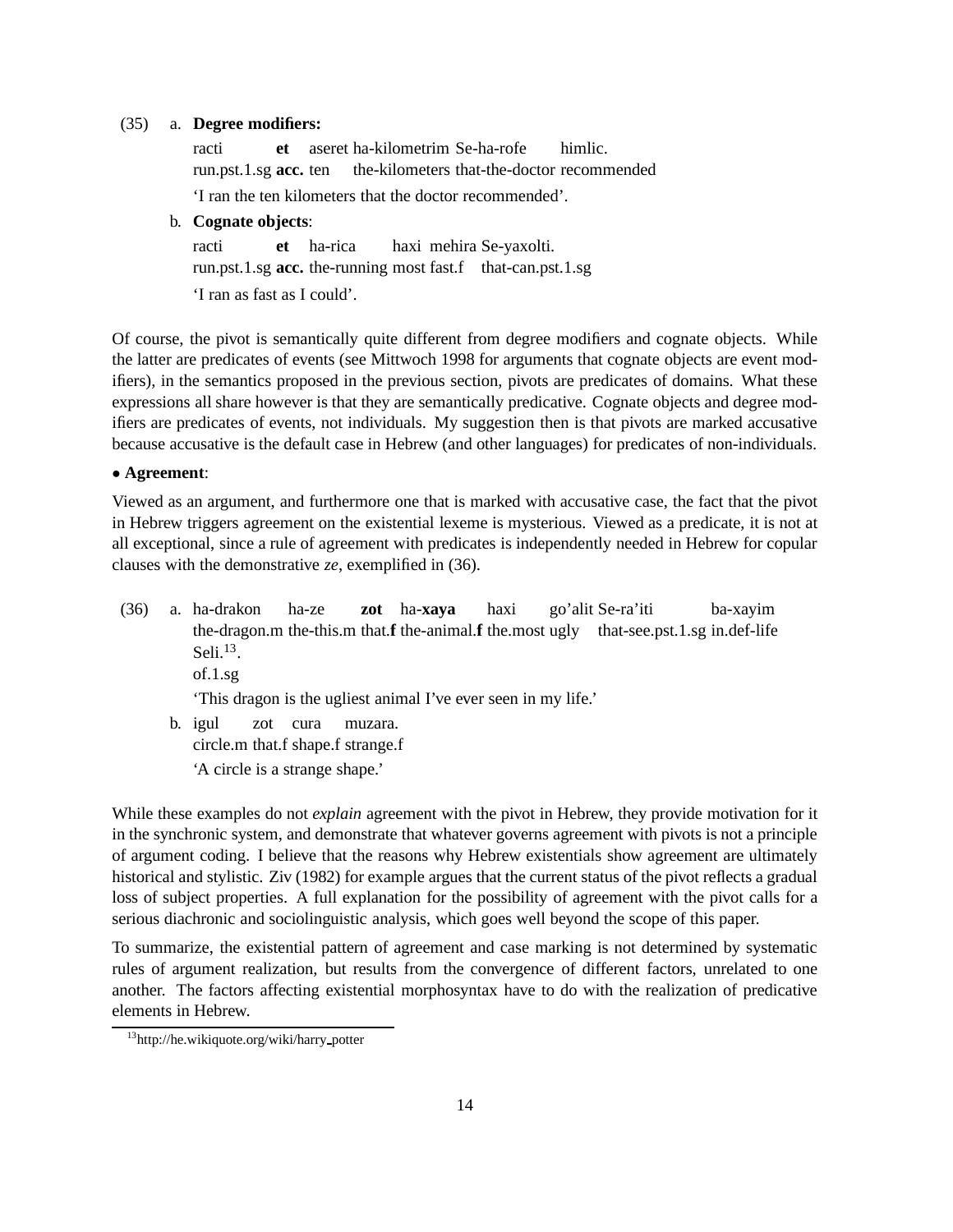#### (35) a. **Degree modifiers:**

racti run.pst.1.sg **acc.** ten **et** aseret ha-kilometrim Se-ha-rofe the-kilometers that-the-doctor recommended himlic. 'I ran the ten kilometers that the doctor recommended'.

#### b. **Cognate objects**:

racti run.pst.1.sg **acc.** the-running most fast.f that-can.pst.1.sg **et** ha-rica haxi mehira Se-yaxolti. 'I ran as fast as I could'.

Of course, the pivot is semantically quite different from degree modifiers and cognate objects. While the latter are predicates of events (see Mittwoch 1998 for arguments that cognate objects are event modifiers), in the semantics proposed in the previous section, pivots are predicates of domains. What these expressions all share however is that they are semantically predicative. Cognate objects and degree modifiers are predicates of events, not individuals. My suggestion then is that pivots are marked accusative because accusative is the default case in Hebrew (and other languages) for predicates of non-individuals.

#### • **Agreement**:

Viewed as an argument, and furthermore one that is marked with accusative case, the fact that the pivot in Hebrew triggers agreement on the existential lexeme is mysterious. Viewed as a predicate, it is not at all exceptional, since a rule of agreement with predicates is independently needed in Hebrew for copular clauses with the demonstrative *ze*, exemplified in (36).

- (36) a. ha-drakon the-dragon.m the-this.m that.f the-animal.f the.most ugly that-see.pst.1.sg in.def-life ha-ze **zot** ha-**xaya** haxi go'alit Se-ra'iti ba-xayim Seli. $^{13}$ . of.1.sg 'This dragon is the ugliest animal I've ever seen in my life.' b. igul circle.m that.f shape.f strange.f zot cura muzara.
	- 'A circle is a strange shape.'

While these examples do not *explain* agreement with the pivot in Hebrew, they provide motivation for it in the synchronic system, and demonstrate that whatever governs agreement with pivots is not a principle of argument coding. I believe that the reasons why Hebrew existentials show agreement are ultimately historical and stylistic. Ziv (1982) for example argues that the current status of the pivot reflects a gradual loss of subject properties. A full explanation for the possibility of agreement with the pivot calls for a serious diachronic and sociolinguistic analysis, which goes well beyond the scope of this paper.

To summarize, the existential pattern of agreement and case marking is not determined by systematic rules of argument realization, but results from the convergence of different factors, unrelated to one another. The factors affecting existential morphosyntax have to do with the realization of predicative elements in Hebrew.

<sup>13</sup>http://he.wikiquote.org/wiki/harry potter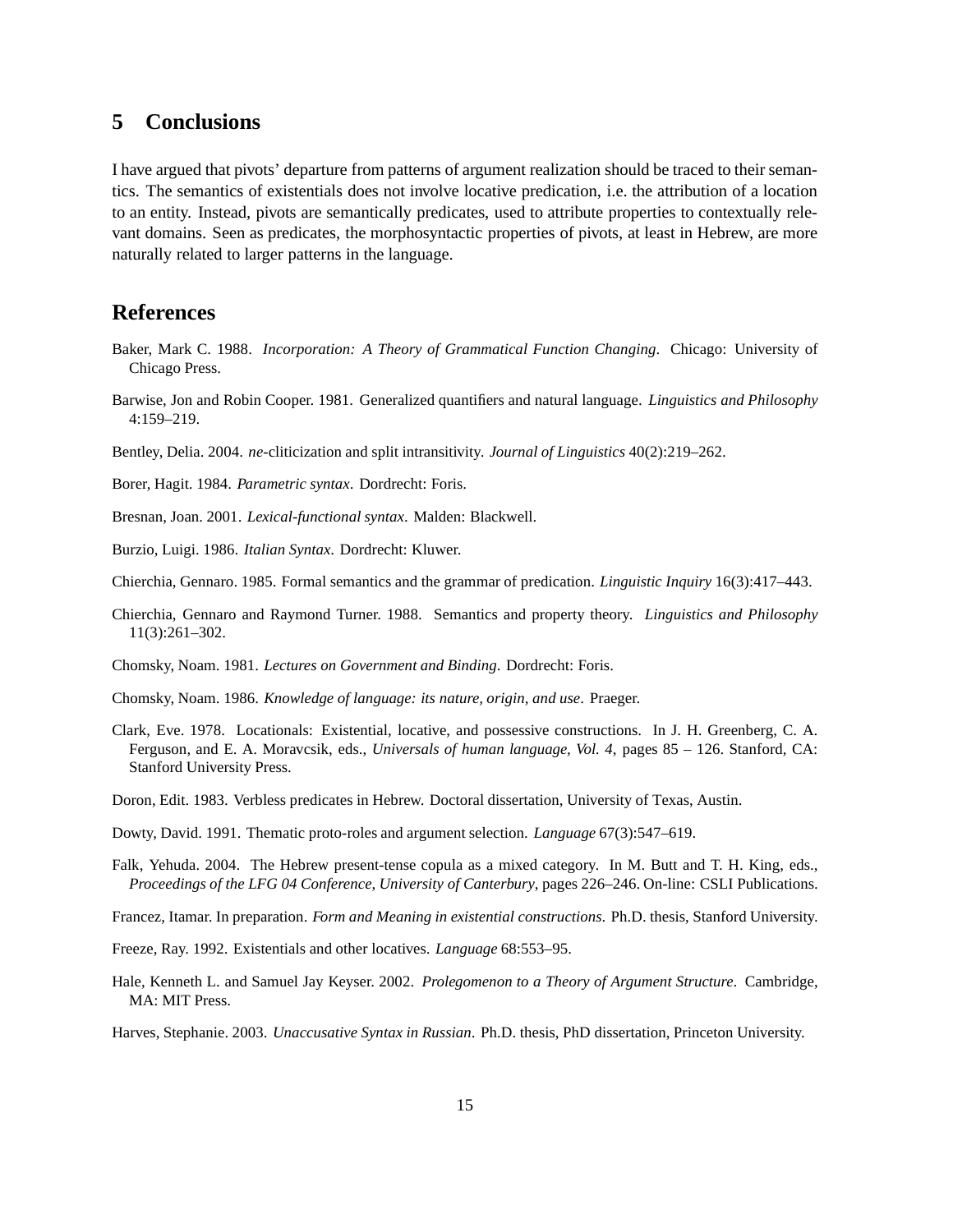# **5 Conclusions**

I have argued that pivots' departure from patterns of argument realization should be traced to their semantics. The semantics of existentials does not involve locative predication, i.e. the attribution of a location to an entity. Instead, pivots are semantically predicates, used to attribute properties to contextually relevant domains. Seen as predicates, the morphosyntactic properties of pivots, at least in Hebrew, are more naturally related to larger patterns in the language.

# **References**

- Baker, Mark C. 1988. *Incorporation: A Theory of Grammatical Function Changing*. Chicago: University of Chicago Press.
- Barwise, Jon and Robin Cooper. 1981. Generalized quantifiers and natural language. *Linguistics and Philosophy* 4:159–219.
- Bentley, Delia. 2004. *ne*-cliticization and split intransitivity. *Journal of Linguistics* 40(2):219–262.
- Borer, Hagit. 1984. *Parametric syntax*. Dordrecht: Foris.
- Bresnan, Joan. 2001. *Lexical-functional syntax*. Malden: Blackwell.
- Burzio, Luigi. 1986. *Italian Syntax*. Dordrecht: Kluwer.
- Chierchia, Gennaro. 1985. Formal semantics and the grammar of predication. *Linguistic Inquiry* 16(3):417–443.
- Chierchia, Gennaro and Raymond Turner. 1988. Semantics and property theory. *Linguistics and Philosophy* 11(3):261–302.
- Chomsky, Noam. 1981. *Lectures on Government and Binding*. Dordrecht: Foris.
- Chomsky, Noam. 1986. *Knowledge of language: its nature, origin, and use*. Praeger.
- Clark, Eve. 1978. Locationals: Existential, locative, and possessive constructions. In J. H. Greenberg, C. A. Ferguson, and E. A. Moravcsik, eds., *Universals of human language, Vol. 4*, pages 85 – 126. Stanford, CA: Stanford University Press.
- Doron, Edit. 1983. Verbless predicates in Hebrew. Doctoral dissertation, University of Texas, Austin.
- Dowty, David. 1991. Thematic proto-roles and argument selection. *Language* 67(3):547–619.
- Falk, Yehuda. 2004. The Hebrew present-tense copula as a mixed category. In M. Butt and T. H. King, eds., *Proceedings of the LFG 04 Conference, University of Canterbury*, pages 226–246. On-line: CSLI Publications.
- Francez, Itamar. In preparation. *Form and Meaning in existential constructions*. Ph.D. thesis, Stanford University.
- Freeze, Ray. 1992. Existentials and other locatives. *Language* 68:553–95.
- Hale, Kenneth L. and Samuel Jay Keyser. 2002. *Prolegomenon to a Theory of Argument Structure*. Cambridge, MA: MIT Press.

Harves, Stephanie. 2003. *Unaccusative Syntax in Russian*. Ph.D. thesis, PhD dissertation, Princeton University.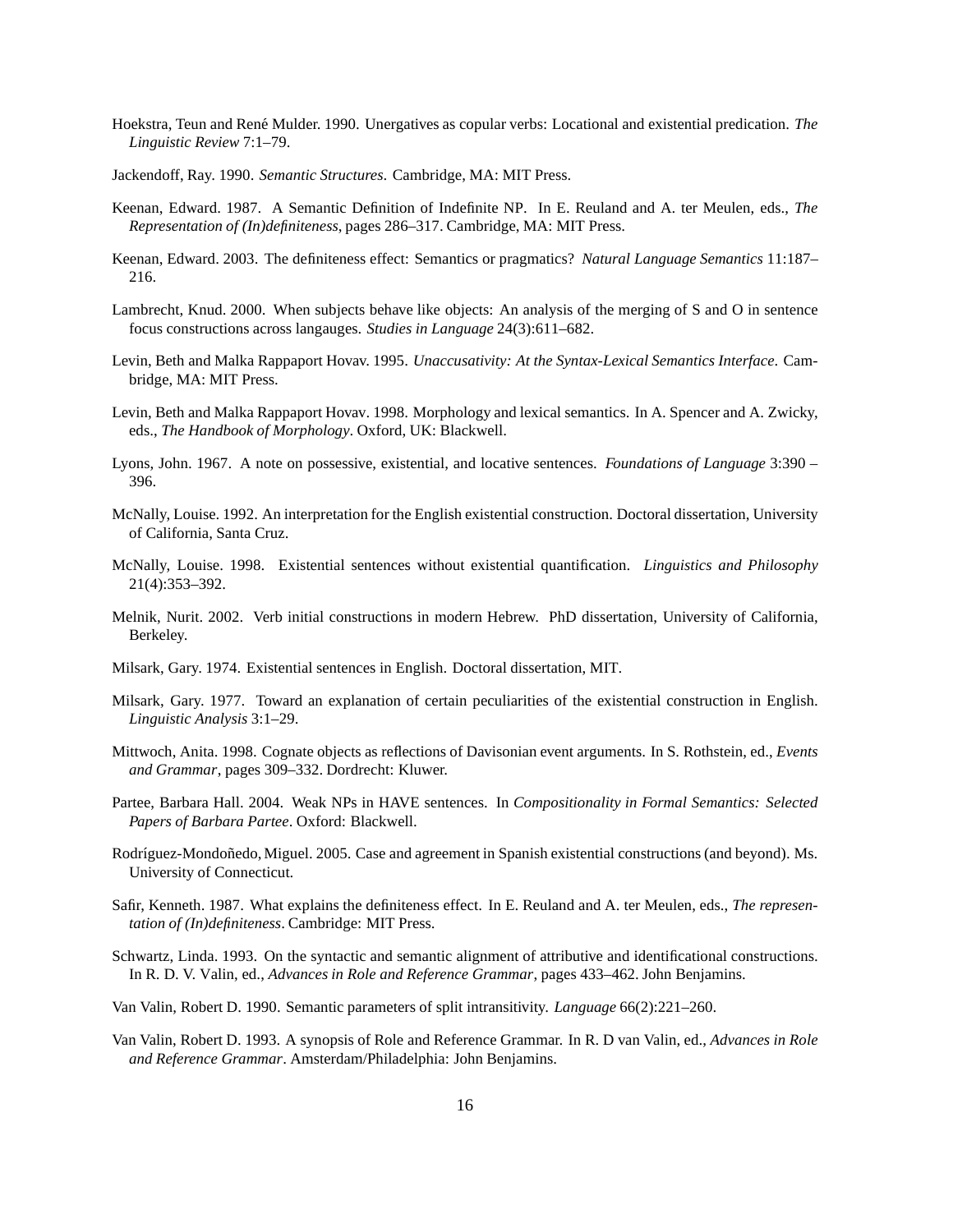- Hoekstra, Teun and Ren´e Mulder. 1990. Unergatives as copular verbs: Locational and existential predication. *The Linguistic Review* 7:1–79.
- Jackendoff, Ray. 1990. *Semantic Structures*. Cambridge, MA: MIT Press.
- Keenan, Edward. 1987. A Semantic Definition of Indefinite NP. In E. Reuland and A. ter Meulen, eds., *The Representation of (In)definiteness*, pages 286–317. Cambridge, MA: MIT Press.
- Keenan, Edward. 2003. The definiteness effect: Semantics or pragmatics? *Natural Language Semantics* 11:187– 216.
- Lambrecht, Knud. 2000. When subjects behave like objects: An analysis of the merging of S and O in sentence focus constructions across langauges. *Studies in Language* 24(3):611–682.
- Levin, Beth and Malka Rappaport Hovav. 1995. *Unaccusativity: At the Syntax-Lexical Semantics Interface*. Cambridge, MA: MIT Press.
- Levin, Beth and Malka Rappaport Hovav. 1998. Morphology and lexical semantics. In A. Spencer and A. Zwicky, eds., *The Handbook of Morphology*. Oxford, UK: Blackwell.
- Lyons, John. 1967. A note on possessive, existential, and locative sentences. *Foundations of Language* 3:390 396.
- McNally, Louise. 1992. An interpretation for the English existential construction. Doctoral dissertation, University of California, Santa Cruz.
- McNally, Louise. 1998. Existential sentences without existential quantification. *Linguistics and Philosophy* 21(4):353–392.
- Melnik, Nurit. 2002. Verb initial constructions in modern Hebrew. PhD dissertation, University of California, Berkeley.
- Milsark, Gary. 1974. Existential sentences in English. Doctoral dissertation, MIT.
- Milsark, Gary. 1977. Toward an explanation of certain peculiarities of the existential construction in English. *Linguistic Analysis* 3:1–29.
- Mittwoch, Anita. 1998. Cognate objects as reflections of Davisonian event arguments. In S. Rothstein, ed., *Events and Grammar*, pages 309–332. Dordrecht: Kluwer.
- Partee, Barbara Hall. 2004. Weak NPs in HAVE sentences. In *Compositionality in Formal Semantics: Selected Papers of Barbara Partee*. Oxford: Blackwell.
- Rodríguez-Mondoñedo, Miguel. 2005. Case and agreement in Spanish existential constructions (and beyond). Ms. University of Connecticut.
- Safir, Kenneth. 1987. What explains the definiteness effect. In E. Reuland and A. ter Meulen, eds., *The representation of (In)definiteness*. Cambridge: MIT Press.
- Schwartz, Linda. 1993. On the syntactic and semantic alignment of attributive and identificational constructions. In R. D. V. Valin, ed., *Advances in Role and Reference Grammar*, pages 433–462. John Benjamins.
- Van Valin, Robert D. 1990. Semantic parameters of split intransitivity. *Language* 66(2):221–260.
- Van Valin, Robert D. 1993. A synopsis of Role and Reference Grammar. In R. D van Valin, ed., *Advances in Role and Reference Grammar*. Amsterdam/Philadelphia: John Benjamins.